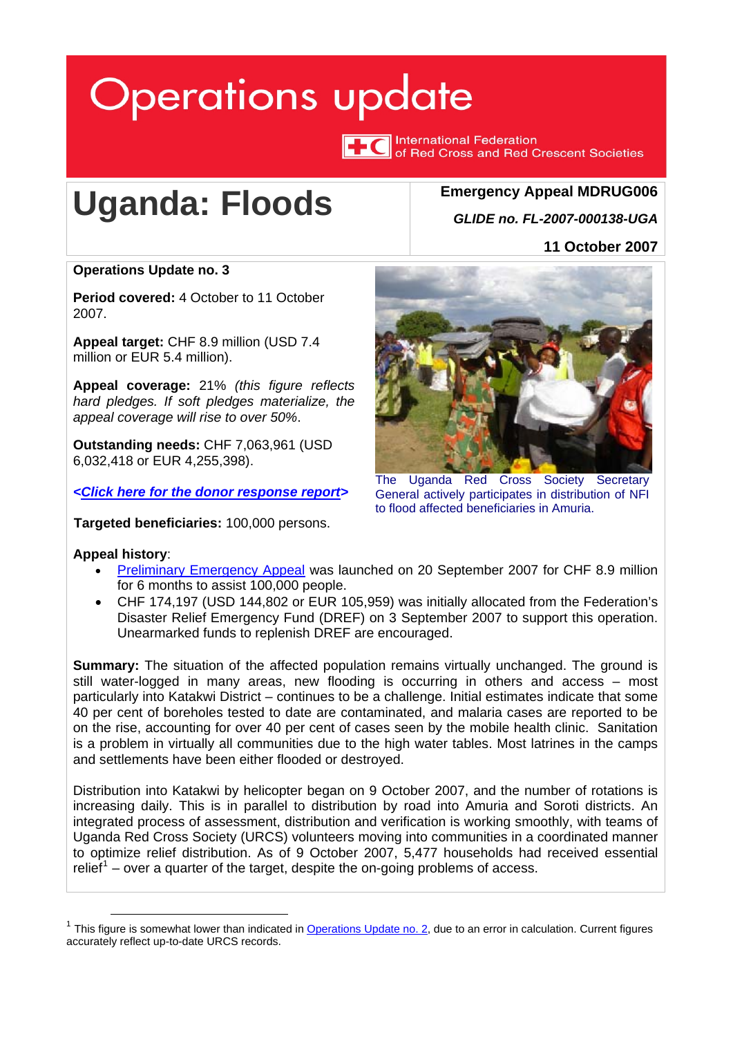# <span id="page-0-1"></span>**Operations update**

**TC** International Federation of Red Cross and Red Crescent Societies

# **Uganda: Floods**

## **Emergency Appeal MDRUG006** *GLIDE no. FL-2007-000138-UGA*

**11 October 2007**

### **Operations Update no. 3**

**Period covered:** 4 October to 11 October 2007.

**Appeal target:** CHF 8.9 million (USD 7.4 million or EUR 5.4 million).

**Appeal coverage:** 21% *(this figure reflects hard pledges. If soft pledges materialize, the appeal coverage will rise to over 50%*.

**Outstanding needs:** CHF 7,063,961 (USD 6,032,418 or EUR 4,255,398).

*<[Click here for the donor response report>](http://www.ifrc.org/docs/appeals/Active/MDRUG006.pdf)* 

**Targeted beneficiaries:** 100,000 persons.

#### **Appeal history**:

- [Preliminary Emergency Appeal](http://www.ifrc.org/docs/appeals/07/MDRUG006EAprelim.pdf) was launched on 20 September 2007 for CHF 8.9 million for 6 months to assist 100,000 people.
- CHF 174,197 (USD 144,802 or EUR 105,959) was initially allocated from the Federation's Disaster Relief Emergency Fund (DREF) on 3 September 2007 to support this operation. Unearmarked funds to replenish DREF are encouraged.

**Summary:** The situation of the affected population remains virtually unchanged. The ground is still water-logged in many areas, new flooding is occurring in others and access – most particularly into Katakwi District – continues to be a challenge. Initial estimates indicate that some 40 per cent of boreholes tested to date are contaminated, and malaria cases are reported to be on the rise, accounting for over 40 per cent of cases seen by the mobile health clinic. Sanitation is a problem in virtually all communities due to the high water tables. Most latrines in the camps and settlements have been either flooded or destroyed.

Distribution into Katakwi by helicopter began on 9 October 2007, and the number of rotations is increasing daily. This is in parallel to distribution by road into Amuria and Soroti districts. An integrated process of assessment, distribution and verification is working smoothly, with teams of Uganda Red Cross Society (URCS) volunteers moving into communities in a coordinated manner to optimize relief distribution. As of 9 October 2007, 5,477 households had received essential relief<sup>[1](#page-0-0)</sup> – over a quarter of the target, despite the on-going problems of access.



The Uganda Red Cross Society Secretary General actively participates in distribution of NFI to flood affected beneficiaries in Amuria.

<span id="page-0-0"></span><sup>&</sup>lt;sup>1</sup> This figure is somewhat lower than indicated in [Operations Update no. 2,](http://www.ifrc.org/docs/appeals/07/MDRUG00602.pdf) due to an error in calculation. Current figures accurately reflect up-to-date URCS records.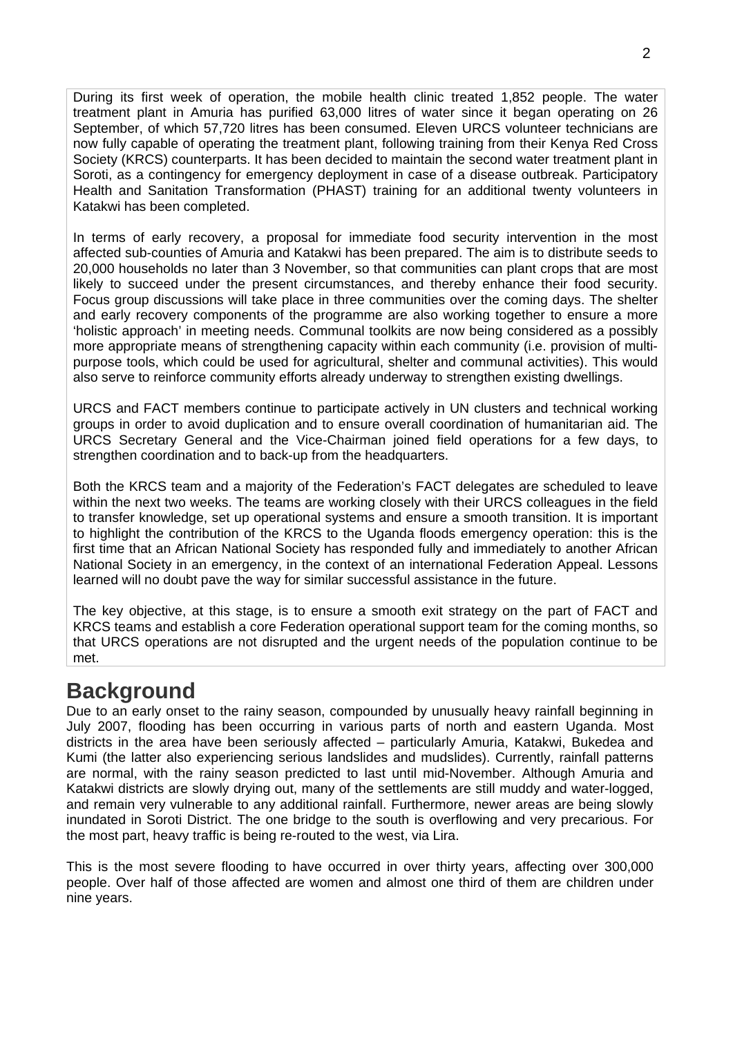During its first week of operation, the mobile health clinic treated 1,852 people. The water treatment plant in Amuria has purified 63,000 litres of water since it began operating on 26 September, of which 57,720 litres has been consumed. Eleven URCS volunteer technicians are now fully capable of operating the treatment plant, following training from their Kenya Red Cross Society (KRCS) counterparts. It has been decided to maintain the second water treatment plant in Soroti, as a contingency for emergency deployment in case of a disease outbreak. Participatory Health and Sanitation Transformation (PHAST) training for an additional twenty volunteers in Katakwi has been completed.

In terms of early recovery, a proposal for immediate food security intervention in the most affected sub-counties of Amuria and Katakwi has been prepared. The aim is to distribute seeds to 20,000 households no later than 3 November, so that communities can plant crops that are most likely to succeed under the present circumstances, and thereby enhance their food security. Focus group discussions will take place in three communities over the coming days. The shelter and early recovery components of the programme are also working together to ensure a more 'holistic approach' in meeting needs. Communal toolkits are now being considered as a possibly more appropriate means of strengthening capacity within each community (i.e. provision of multipurpose tools, which could be used for agricultural, shelter and communal activities). This would also serve to reinforce community efforts already underway to strengthen existing dwellings.

URCS and FACT members continue to participate actively in UN clusters and technical working groups in order to avoid duplication and to ensure overall coordination of humanitarian aid. The URCS Secretary General and the Vice-Chairman joined field operations for a few days, to strengthen coordination and to back-up from the headquarters.

Both the KRCS team and a majority of the Federation's FACT delegates are scheduled to leave within the next two weeks. The teams are working closely with their URCS colleagues in the field to transfer knowledge, set up operational systems and ensure a smooth transition. It is important to highlight the contribution of the KRCS to the Uganda floods emergency operation: this is the first time that an African National Society has responded fully and immediately to another African National Society in an emergency, in the context of an international Federation Appeal. Lessons learned will no doubt pave the way for similar successful assistance in the future.

The key objective, at this stage, is to ensure a smooth exit strategy on the part of FACT and KRCS teams and establish a core Federation operational support team for the coming months, so that URCS operations are not disrupted and the urgent needs of the population continue to be met.

# **Background**

Due to an early onset to the rainy season, compounded by unusually heavy rainfall beginning in July 2007, flooding has been occurring in various parts of north and eastern Uganda. Most districts in the area have been seriously affected – particularly Amuria, Katakwi, Bukedea and Kumi (the latter also experiencing serious landslides and mudslides). Currently, rainfall patterns are normal, with the rainy season predicted to last until mid-November. Although Amuria and Katakwi districts are slowly drying out, many of the settlements are still muddy and water-logged, and remain very vulnerable to any additional rainfall. Furthermore, newer areas are being slowly inundated in Soroti District. The one bridge to the south is overflowing and very precarious. For the most part, heavy traffic is being re-routed to the west, via Lira.

This is the most severe flooding to have occurred in over thirty years, affecting over 300,000 people. Over half of those affected are women and almost one third of them are children under nine years.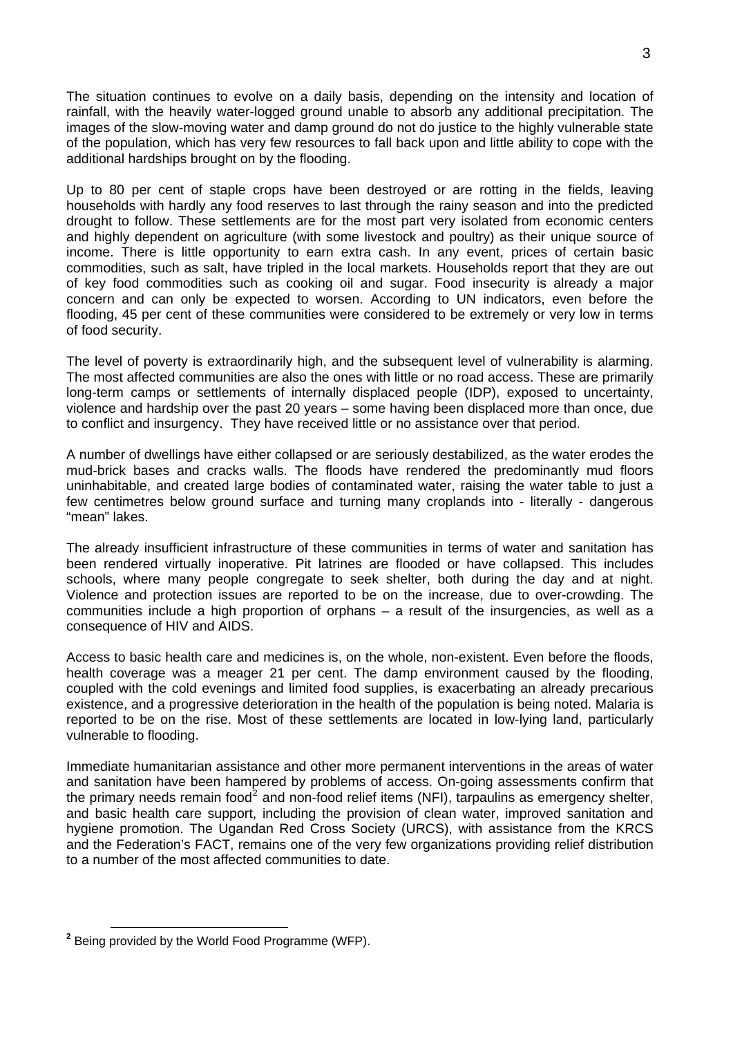The situation continues to evolve on a daily basis, depending on the intensity and location of rainfall, with the heavily water-logged ground unable to absorb any additional precipitation. The images of the slow-moving water and damp ground do not do justice to the highly vulnerable state of the population, which has very few resources to fall back upon and little ability to cope with the additional hardships brought on by the flooding.

Up to 80 per cent of staple crops have been destroyed or are rotting in the fields, leaving households with hardly any food reserves to last through the rainy season and into the predicted drought to follow. These settlements are for the most part very isolated from economic centers and highly dependent on agriculture (with some livestock and poultry) as their unique source of income. There is little opportunity to earn extra cash. In any event, prices of certain basic commodities, such as salt, have tripled in the local markets. Households report that they are out of key food commodities such as cooking oil and sugar. Food insecurity is already a major concern and can only be expected to worsen. According to UN indicators, even before the flooding, 45 per cent of these communities were considered to be extremely or very low in terms of food security.

The level of poverty is extraordinarily high, and the subsequent level of vulnerability is alarming. The most affected communities are also the ones with little or no road access. These are primarily long-term camps or settlements of internally displaced people (IDP), exposed to uncertainty, violence and hardship over the past 20 years – some having been displaced more than once, due to conflict and insurgency. They have received little or no assistance over that period.

A number of dwellings have either collapsed or are seriously destabilized, as the water erodes the mud-brick bases and cracks walls. The floods have rendered the predominantly mud floors uninhabitable, and created large bodies of contaminated water, raising the water table to just a few centimetres below ground surface and turning many croplands into - literally - dangerous "mean" lakes.

The already insufficient infrastructure of these communities in terms of water and sanitation has been rendered virtually inoperative. Pit latrines are flooded or have collapsed. This includes schools, where many people congregate to seek shelter, both during the day and at night. Violence and protection issues are reported to be on the increase, due to over-crowding. The communities include a high proportion of orphans – a result of the insurgencies, as well as a consequence of HIV and AIDS.

Access to basic health care and medicines is, on the whole, non-existent. Even before the floods, health coverage was a meager 21 per cent. The damp environment caused by the flooding, coupled with the cold evenings and limited food supplies, is exacerbating an already precarious existence, and a progressive deterioration in the health of the population is being noted. Malaria is reported to be on the rise. Most of these settlements are located in low-lying land, particularly vulnerable to flooding.

Immediate humanitarian assistance and other more permanent interventions in the areas of water and sanitation have been hampered by problems of access. On-going assessments confirm that the primary needs remain food<sup>[2](#page-2-0)</sup> and non-food relief items (NFI), tarpaulins as emergency shelter, and basic health care support, including the provision of clean water, improved sanitation and hygiene promotion. The Ugandan Red Cross Society (URCS), with assistance from the KRCS and the Federation's FACT, remains one of the very few organizations providing relief distribution to a number of the most affected communities to date.

<span id="page-2-0"></span>**<sup>2</sup>** Being provided by the World Food Programme (WFP).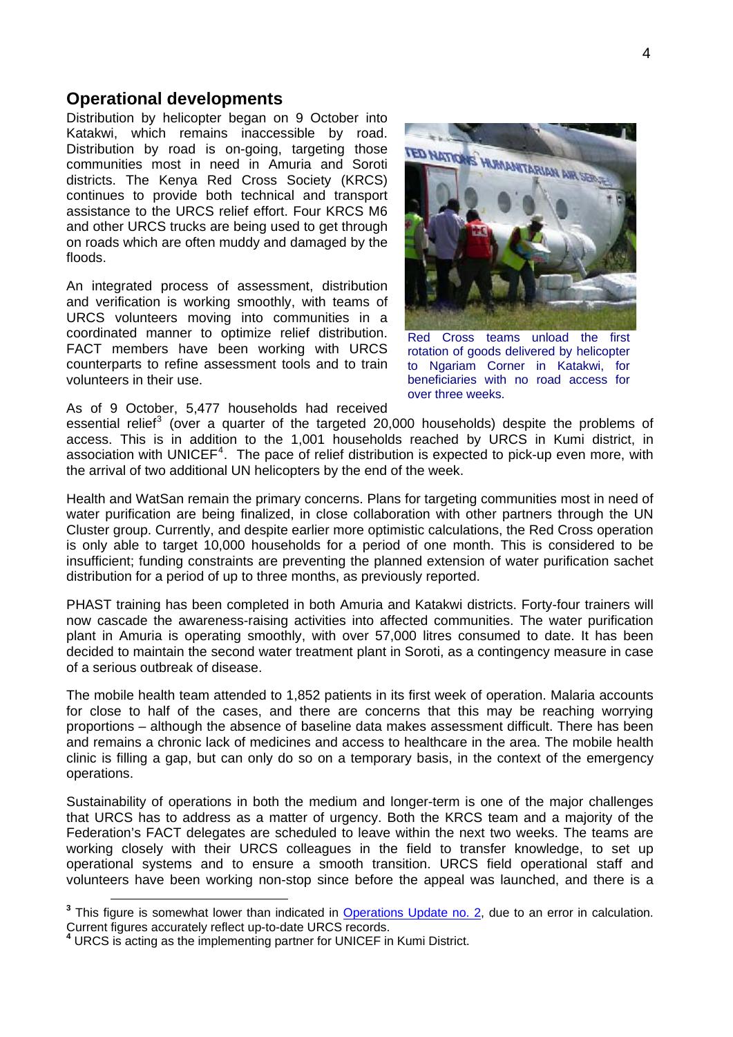#### **Operational developments**

Distribution by helicopter began on 9 October into Katakwi, which remains inaccessible by road. Distribution by road is on-going, targeting those communities most in need in Amuria and Soroti districts. The Kenya Red Cross Society (KRCS) continues to provide both technical and transport assistance to the URCS relief effort. Four KRCS M6 and other URCS trucks are being used to get through on roads which are often muddy and damaged by the floods.

An integrated process of assessment, distribution and verification is working smoothly, with teams of URCS volunteers moving into communities in a coordinated manner to optimize relief distribution. FACT members have been working with URCS counterparts to refine assessment tools and to train volunteers in their use.

TED NATIONS HUMANITARIAN AIR SE

Red Cross teams unload the first rotation of goods delivered by helicopter to Ngariam Corner in Katakwi, for beneficiaries with no road access for over three weeks.

As of 9 October, 5,477 households had received

essential relief<sup>[3](#page-3-0)</sup> (over a quarter of the targeted 20,000 households) despite the problems of access. This is in addition to the 1,001 households reached by URCS in Kumi district, in association with UNICEF<sup>[4](#page-3-1)</sup>. The pace of relief distribution is expected to pick-up even more, with the arrival of two additional UN helicopters by the end of the week.

Health and WatSan remain the primary concerns. Plans for targeting communities most in need of water purification are being finalized, in close collaboration with other partners through the UN Cluster group. Currently, and despite earlier more optimistic calculations, the Red Cross operation is only able to target 10,000 households for a period of one month. This is considered to be insufficient; funding constraints are preventing the planned extension of water purification sachet distribution for a period of up to three months, as previously reported.

PHAST training has been completed in both Amuria and Katakwi districts. Forty-four trainers will now cascade the awareness-raising activities into affected communities. The water purification plant in Amuria is operating smoothly, with over 57,000 litres consumed to date. It has been decided to maintain the second water treatment plant in Soroti, as a contingency measure in case of a serious outbreak of disease.

The mobile health team attended to 1,852 patients in its first week of operation. Malaria accounts for close to half of the cases, and there are concerns that this may be reaching worrying proportions – although the absence of baseline data makes assessment difficult. There has been and remains a chronic lack of medicines and access to healthcare in the area. The mobile health clinic is filling a gap, but can only do so on a temporary basis, in the context of the emergency operations.

Sustainability of operations in both the medium and longer-term is one of the major challenges that URCS has to address as a matter of urgency. Both the KRCS team and a majority of the Federation's FACT delegates are scheduled to leave within the next two weeks. The teams are working closely with their URCS colleagues in the field to transfer knowledge, to set up operational systems and to ensure a smooth transition. URCS field operational staff and volunteers have been working non-stop since before the appeal was launched, and there is a

<span id="page-3-0"></span><sup>&</sup>lt;sup>3</sup> This figure is somewhat lower than indicated in **Operations Update no. 2**, due to an error in calculation.<br>Current figures accurately reflect up-to-date URCS records.

<span id="page-3-1"></span>Current figures accurately reflect up-to-date URCS records. **<sup>4</sup>** URCS is acting as the implementing partner for UNICEF in Kumi District.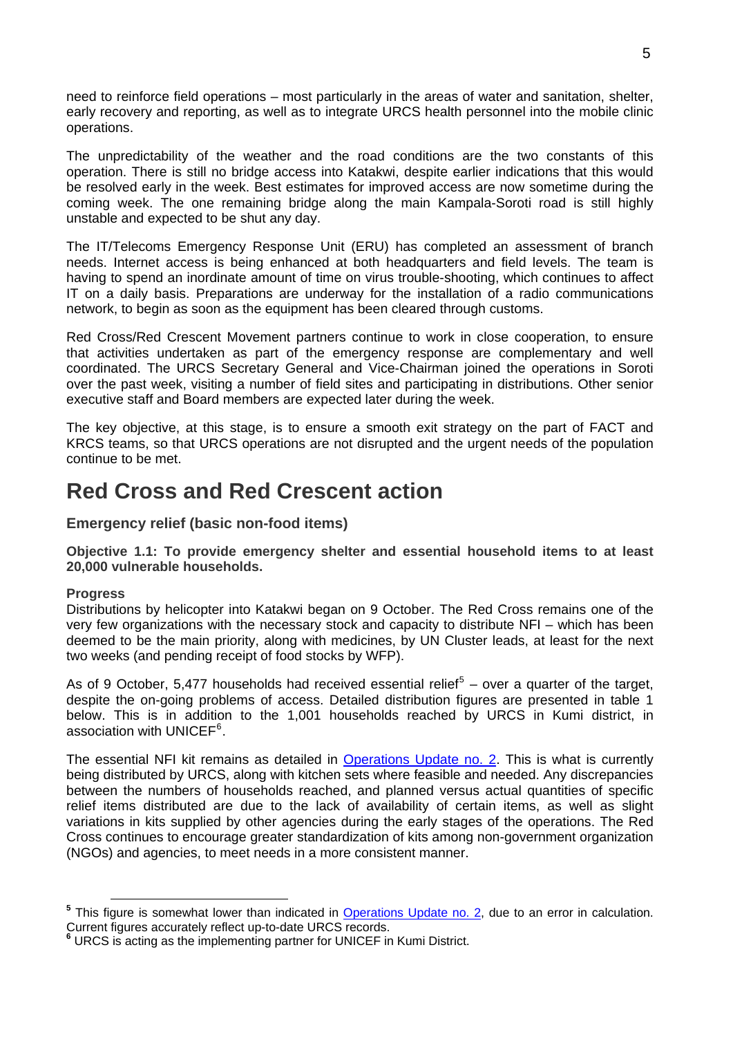need to reinforce field operations – most particularly in the areas of water and sanitation, shelter, early recovery and reporting, as well as to integrate URCS health personnel into the mobile clinic operations.

The unpredictability of the weather and the road conditions are the two constants of this operation. There is still no bridge access into Katakwi, despite earlier indications that this would be resolved early in the week. Best estimates for improved access are now sometime during the coming week. The one remaining bridge along the main Kampala-Soroti road is still highly unstable and expected to be shut any day.

The IT/Telecoms Emergency Response Unit (ERU) has completed an assessment of branch needs. Internet access is being enhanced at both headquarters and field levels. The team is having to spend an inordinate amount of time on virus trouble-shooting, which continues to affect IT on a daily basis. Preparations are underway for the installation of a radio communications network, to begin as soon as the equipment has been cleared through customs.

Red Cross/Red Crescent Movement partners continue to work in close cooperation, to ensure that activities undertaken as part of the emergency response are complementary and well coordinated. The URCS Secretary General and Vice-Chairman joined the operations in Soroti over the past week, visiting a number of field sites and participating in distributions. Other senior executive staff and Board members are expected later during the week.

The key objective, at this stage, is to ensure a smooth exit strategy on the part of FACT and KRCS teams, so that URCS operations are not disrupted and the urgent needs of the population continue to be met.

# **Red Cross and Red Crescent action**

**Emergency relief (basic non-food items)** 

**Objective 1.1: To provide emergency shelter and essential household items to at least 20,000 vulnerable households.** 

#### **Progress**

Distributions by helicopter into Katakwi began on 9 October. The Red Cross remains one of the very few organizations with the necessary stock and capacity to distribute NFI – which has been deemed to be the main priority, along with medicines, by UN Cluster leads, at least for the next two weeks (and pending receipt of food stocks by WFP).

As of 9 October, [5](#page-4-0),477 households had received essential relief<sup>5</sup> – over a quarter of the target, despite the on-going problems of access. Detailed distribution figures are presented in table 1 below. This is in addition to the 1,001 households reached by URCS in Kumi district, in association with UNICEF<sup>[6](#page-4-1)</sup>.

The essential NFI kit remains as detailed in [Operations Update no. 2](http://www.ifrc.org/docs/appeals/07/MDRUG00602.pdf). This is what is currently being distributed by URCS, along with kitchen sets where feasible and needed. Any discrepancies between the numbers of households reached, and planned versus actual quantities of specific relief items distributed are due to the lack of availability of certain items, as well as slight variations in kits supplied by other agencies during the early stages of the operations. The Red Cross continues to encourage greater standardization of kits among non-government organization (NGOs) and agencies, to meet needs in a more consistent manner.

<span id="page-4-0"></span><sup>&</sup>lt;sup>5</sup> This figure is somewhat lower than indicated in **Operations Update no. 2**, due to an error in calculation.<br>Current figures accurately reflect up-to-date URCS records.

<span id="page-4-1"></span>Current figures accurately reflect up-to-date URCS records. **<sup>6</sup>** URCS is acting as the implementing partner for UNICEF in Kumi District.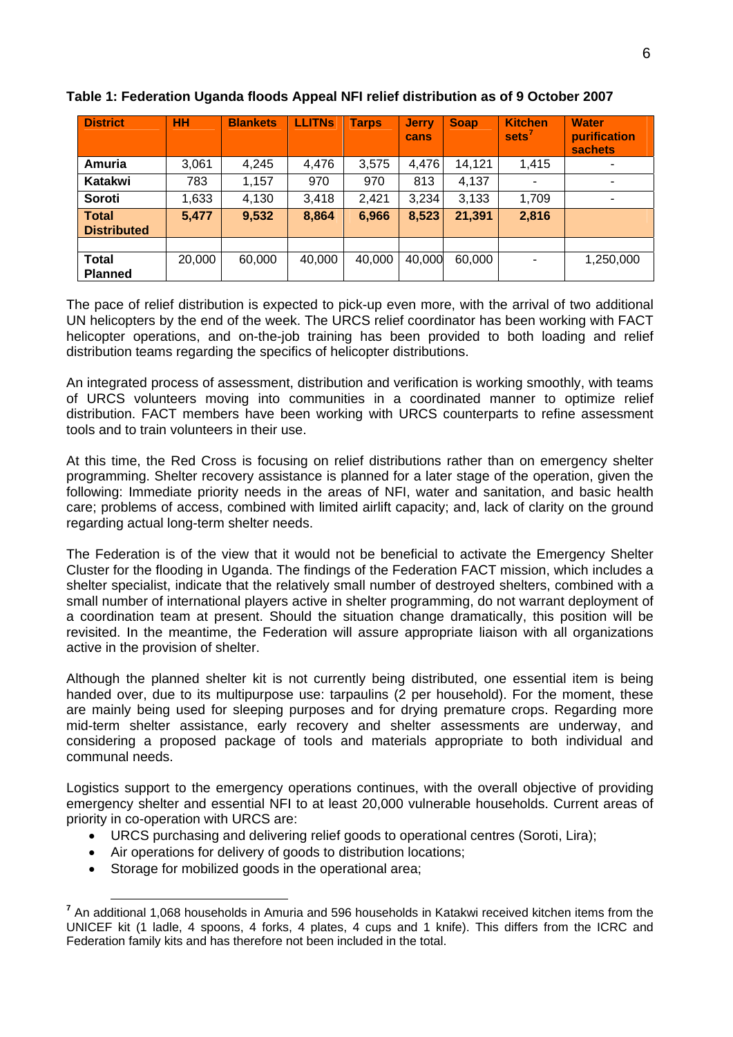| <b>District</b>                    | HH     | <b>Blankets</b> | <b>LLITNs</b> | <b>Tarps</b> | <b>Jerry</b><br>cans | <b>Soap</b> | <b>Kitchen</b><br>sets <sup>'</sup> | <b>Water</b><br>purification<br><b>sachets</b> |
|------------------------------------|--------|-----------------|---------------|--------------|----------------------|-------------|-------------------------------------|------------------------------------------------|
| Amuria                             | 3,061  | 4,245           | 4,476         | 3,575        | 4,476                | 14,121      | 1,415                               |                                                |
| Katakwi                            | 783    | 1,157           | 970           | 970          | 813                  | 4,137       |                                     | ٠                                              |
| Soroti                             | 1,633  | 4,130           | 3,418         | 2,421        | 3,234                | 3,133       | 1,709                               | ۰                                              |
| <b>Total</b><br><b>Distributed</b> | 5,477  | 9,532           | 8,864         | 6,966        | 8,523                | 21,391      | 2,816                               |                                                |
|                                    |        |                 |               |              |                      |             |                                     |                                                |
| <b>Total</b><br><b>Planned</b>     | 20,000 | 60,000          | 40,000        | 40,000       | 40,000               | 60,000      | $\overline{\phantom{0}}$            | 1,250,000                                      |

#### **Table 1: Federation Uganda floods Appeal NFI relief distribution as of 9 October 2007**

The pace of relief distribution is expected to pick-up even more, with the arrival of two additional UN helicopters by the end of the week. The URCS relief coordinator has been working with FACT helicopter operations, and on-the-job training has been provided to both loading and relief distribution teams regarding the specifics of helicopter distributions.

An integrated process of assessment, distribution and verification is working smoothly, with teams of URCS volunteers moving into communities in a coordinated manner to optimize relief distribution. FACT members have been working with URCS counterparts to refine assessment tools and to train volunteers in their use.

At this time, the Red Cross is focusing on relief distributions rather than on emergency shelter programming. Shelter recovery assistance is planned for a later stage of the operation, given the following: Immediate priority needs in the areas of NFI, water and sanitation, and basic health care; problems of access, combined with limited airlift capacity; and, lack of clarity on the ground regarding actual long-term shelter needs.

The Federation is of the view that it would not be beneficial to activate the Emergency Shelter Cluster for the flooding in Uganda. The findings of the Federation FACT mission, which includes a shelter specialist, indicate that the relatively small number of destroyed shelters, combined with a small number of international players active in shelter programming, do not warrant deployment of a coordination team at present. Should the situation change dramatically, this position will be revisited. In the meantime, the Federation will assure appropriate liaison with all organizations active in the provision of shelter.

Although the planned shelter kit is not currently being distributed, one essential item is being handed over, due to its multipurpose use: tarpaulins (2 per household). For the moment, these are mainly being used for sleeping purposes and for drying premature crops. Regarding more mid-term shelter assistance, early recovery and shelter assessments are underway, and considering a proposed package of tools and materials appropriate to both individual and communal needs.

Logistics support to the emergency operations continues, with the overall objective of providing emergency shelter and essential NFI to at least 20,000 vulnerable households. Current areas of priority in co-operation with URCS are:

- URCS purchasing and delivering relief goods to operational centres (Soroti, Lira);
- Air operations for delivery of goods to distribution locations;
- Storage for mobilized goods in the operational area;

<span id="page-5-0"></span>**<sup>7</sup>** An additional 1,068 households in Amuria and 596 households in Katakwi received kitchen items from the UNICEF kit (1 ladle, 4 spoons, 4 forks, 4 plates, 4 cups and 1 knife). This differs from the ICRC and Federation family kits and has therefore not been included in the total.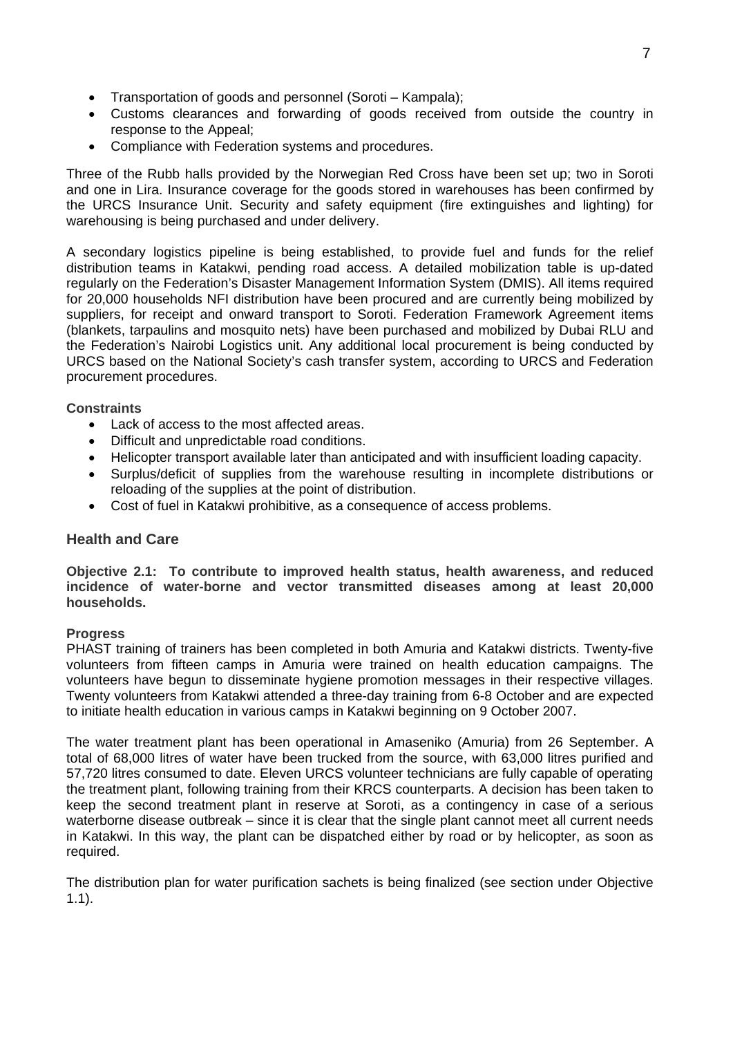- Transportation of goods and personnel (Soroti Kampala);
- Customs clearances and forwarding of goods received from outside the country in response to the Appeal;
- Compliance with Federation systems and procedures.

Three of the Rubb halls provided by the Norwegian Red Cross have been set up; two in Soroti and one in Lira. Insurance coverage for the goods stored in warehouses has been confirmed by the URCS Insurance Unit. Security and safety equipment (fire extinguishes and lighting) for warehousing is being purchased and under delivery.

A secondary logistics pipeline is being established, to provide fuel and funds for the relief distribution teams in Katakwi, pending road access. A detailed mobilization table is up-dated regularly on the Federation's Disaster Management Information System (DMIS). All items required for 20,000 households NFI distribution have been procured and are currently being mobilized by suppliers, for receipt and onward transport to Soroti. Federation Framework Agreement items (blankets, tarpaulins and mosquito nets) have been purchased and mobilized by Dubai RLU and the Federation's Nairobi Logistics unit. Any additional local procurement is being conducted by URCS based on the National Society's cash transfer system, according to URCS and Federation procurement procedures.

#### **Constraints**

- Lack of access to the most affected areas.
- Difficult and unpredictable road conditions.
- Helicopter transport available later than anticipated and with insufficient loading capacity.
- Surplus/deficit of supplies from the warehouse resulting in incomplete distributions or reloading of the supplies at the point of distribution.
- Cost of fuel in Katakwi prohibitive, as a consequence of access problems.

#### **Health and Care**

**Objective 2.1: To contribute to improved health status, health awareness, and reduced incidence of water-borne and vector transmitted diseases among at least 20,000 households.** 

#### **Progress**

PHAST training of trainers has been completed in both Amuria and Katakwi districts. Twenty-five volunteers from fifteen camps in Amuria were trained on health education campaigns. The volunteers have begun to disseminate hygiene promotion messages in their respective villages. Twenty volunteers from Katakwi attended a three-day training from 6-8 October and are expected to initiate health education in various camps in Katakwi beginning on 9 October 2007.

The water treatment plant has been operational in Amaseniko (Amuria) from 26 September. A total of 68,000 litres of water have been trucked from the source, with 63,000 litres purified and 57,720 litres consumed to date. Eleven URCS volunteer technicians are fully capable of operating the treatment plant, following training from their KRCS counterparts. A decision has been taken to keep the second treatment plant in reserve at Soroti, as a contingency in case of a serious waterborne disease outbreak – since it is clear that the single plant cannot meet all current needs in Katakwi. In this way, the plant can be dispatched either by road or by helicopter, as soon as required.

The distribution plan for water purification sachets is being finalized (see section under Objective 1.1).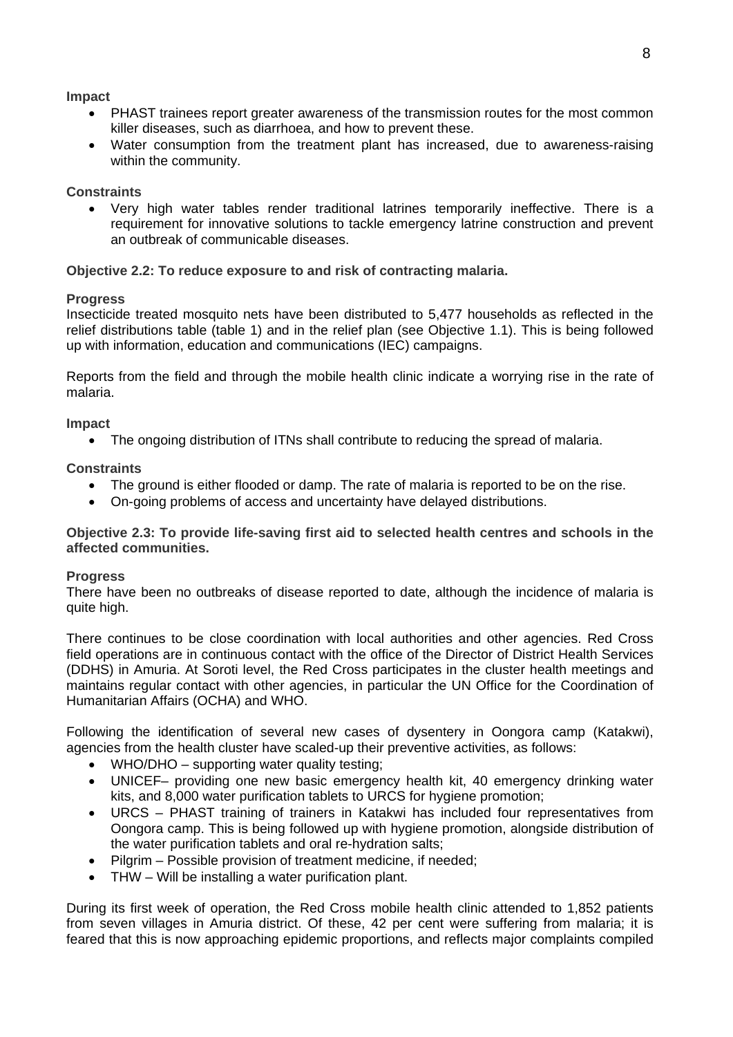#### **Impact**

- PHAST trainees report greater awareness of the transmission routes for the most common killer diseases, such as diarrhoea, and how to prevent these.
- Water consumption from the treatment plant has increased, due to awareness-raising within the community.

#### **Constraints**

• Very high water tables render traditional latrines temporarily ineffective. There is a requirement for innovative solutions to tackle emergency latrine construction and prevent an outbreak of communicable diseases.

#### **Objective 2.2: To reduce exposure to and risk of contracting malaria.**

#### **Progress**

Insecticide treated mosquito nets have been distributed to 5,477 households as reflected in the relief distributions table (table 1) and in the relief plan (see Objective 1.1). This is being followed up with information, education and communications (IEC) campaigns.

Reports from the field and through the mobile health clinic indicate a worrying rise in the rate of malaria.

#### **Impact**

• The ongoing distribution of ITNs shall contribute to reducing the spread of malaria.

#### **Constraints**

- The ground is either flooded or damp. The rate of malaria is reported to be on the rise.
- On-going problems of access and uncertainty have delayed distributions.

**Objective 2.3: To provide life-saving first aid to selected health centres and schools in the affected communities.** 

#### **Progress**

There have been no outbreaks of disease reported to date, although the incidence of malaria is quite high.

There continues to be close coordination with local authorities and other agencies. Red Cross field operations are in continuous contact with the office of the Director of District Health Services (DDHS) in Amuria. At Soroti level, the Red Cross participates in the cluster health meetings and maintains regular contact with other agencies, in particular the UN Office for the Coordination of Humanitarian Affairs (OCHA) and WHO.

Following the identification of several new cases of dysentery in Oongora camp (Katakwi), agencies from the health cluster have scaled-up their preventive activities, as follows:

- WHO/DHO supporting water quality testing;
- UNICEF– providing one new basic emergency health kit, 40 emergency drinking water kits, and 8,000 water purification tablets to URCS for hygiene promotion;
- URCS PHAST training of trainers in Katakwi has included four representatives from Oongora camp. This is being followed up with hygiene promotion, alongside distribution of the water purification tablets and oral re-hydration salts;
- Pilgrim Possible provision of treatment medicine, if needed;
- THW Will be installing a water purification plant.

During its first week of operation, the Red Cross mobile health clinic attended to 1,852 patients from seven villages in Amuria district. Of these, 42 per cent were suffering from malaria; it is feared that this is now approaching epidemic proportions, and reflects major complaints compiled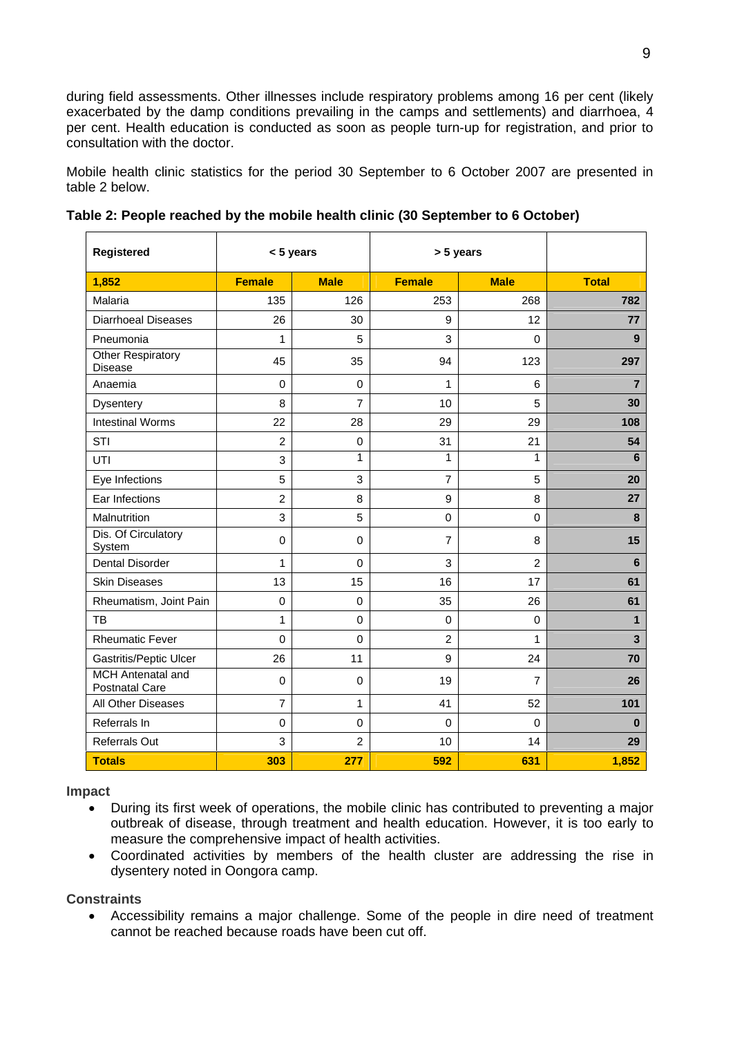during field assessments. Other illnesses include respiratory problems among 16 per cent (likely exacerbated by the damp conditions prevailing in the camps and settlements) and diarrhoea, 4 per cent. Health education is conducted as soon as people turn-up for registration, and prior to consultation with the doctor.

Mobile health clinic statistics for the period 30 September to 6 October 2007 are presented in table 2 below.

| Registered                                        |                | < 5 years      | > 5 years        |                |                         |
|---------------------------------------------------|----------------|----------------|------------------|----------------|-------------------------|
| 1,852                                             | <b>Female</b>  | <b>Male</b>    | <b>Female</b>    | <b>Male</b>    | <b>Total</b>            |
| Malaria                                           | 135            | 126            | 253              | 268            | 782                     |
| <b>Diarrhoeal Diseases</b>                        | 26             | 30             | $\boldsymbol{9}$ | 12             | 77                      |
| Pneumonia                                         | 1              | 5              | 3                | 0              | 9                       |
| <b>Other Respiratory</b><br>Disease               | 45             | 35             | 94               | 123            | 297                     |
| Anaemia                                           | $\mathbf 0$    | $\pmb{0}$      | 1                | 6              | $\overline{7}$          |
| Dysentery                                         | 8              | 7              | 10               | 5              | 30                      |
| <b>Intestinal Worms</b>                           | 22             | 28             | 29               | 29             | 108                     |
| STI                                               | $\overline{2}$ | $\pmb{0}$      | 31               | 21             | 54                      |
| UTI                                               | 3              | 1              | 1                | 1              | 6                       |
| Eye Infections                                    | 5              | 3              | $\overline{7}$   | 5              | 20                      |
| Ear Infections                                    | $\overline{2}$ | 8              | 9                | 8              | 27                      |
| Malnutrition                                      | 3              | 5              | $\pmb{0}$        | 0              | 8                       |
| Dis. Of Circulatory<br>System                     | $\pmb{0}$      | $\pmb{0}$      | $\overline{7}$   | 8              | 15                      |
| <b>Dental Disorder</b>                            | 1              | $\mathbf 0$    | 3                | $\overline{2}$ | 6                       |
| <b>Skin Diseases</b>                              | 13             | 15             | 16               | 17             | 61                      |
| Rheumatism, Joint Pain                            | $\mathbf 0$    | $\mathbf 0$    | 35               | 26             | 61                      |
| TB                                                | 1              | $\pmb{0}$      | $\mathbf 0$      | $\mathbf 0$    | $\mathbf{1}$            |
| <b>Rheumatic Fever</b>                            | $\mathbf 0$    | $\mathbf 0$    | $\overline{c}$   | 1              | $\overline{\mathbf{3}}$ |
| Gastritis/Peptic Ulcer                            | 26             | 11             | 9                | 24             | 70                      |
| <b>MCH</b> Antenatal and<br><b>Postnatal Care</b> | $\mathbf 0$    | $\mathbf 0$    | 19               | $\overline{7}$ | 26                      |
| All Other Diseases                                | $\overline{7}$ | 1              | 41               | 52             | 101                     |
| Referrals In                                      | $\mathbf 0$    | $\mathbf 0$    | 0                | $\Omega$       | $\bf{0}$                |
| Referrals Out                                     | 3              | $\overline{c}$ | 10               | 14             | 29                      |
| <b>Totals</b>                                     | 303            | 277            | 592              | 631            | 1,852                   |

**Table 2: People reached by the mobile health clinic (30 September to 6 October)** 

#### **Impact**

- During its first week of operations, the mobile clinic has contributed to preventing a major outbreak of disease, through treatment and health education. However, it is too early to measure the comprehensive impact of health activities.
- Coordinated activities by members of the health cluster are addressing the rise in dysentery noted in Oongora camp.

#### **Constraints**

• Accessibility remains a major challenge. Some of the people in dire need of treatment cannot be reached because roads have been cut off.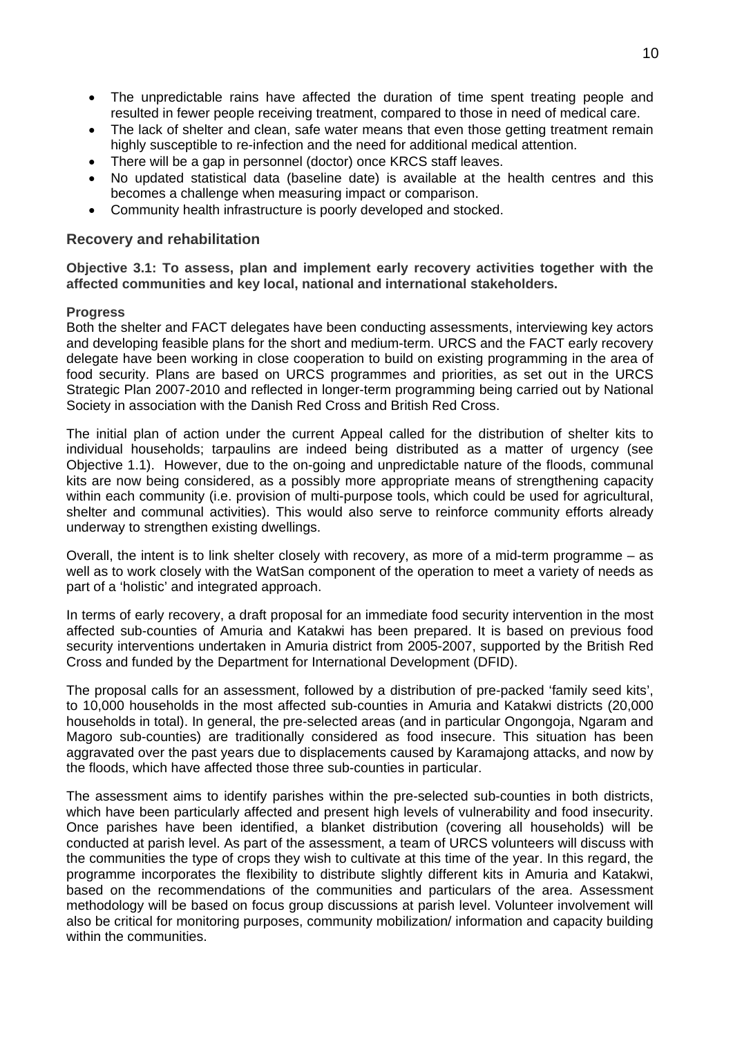- The unpredictable rains have affected the duration of time spent treating people and resulted in fewer people receiving treatment, compared to those in need of medical care.
- The lack of shelter and clean, safe water means that even those getting treatment remain highly susceptible to re-infection and the need for additional medical attention.
- There will be a gap in personnel (doctor) once KRCS staff leaves.
- No updated statistical data (baseline date) is available at the health centres and this becomes a challenge when measuring impact or comparison.
- Community health infrastructure is poorly developed and stocked.

#### **Recovery and rehabilitation**

**Objective 3.1: To assess, plan and implement early recovery activities together with the affected communities and key local, national and international stakeholders.** 

#### **Progress**

Both the shelter and FACT delegates have been conducting assessments, interviewing key actors and developing feasible plans for the short and medium-term. URCS and the FACT early recovery delegate have been working in close cooperation to build on existing programming in the area of food security. Plans are based on URCS programmes and priorities, as set out in the URCS Strategic Plan 2007-2010 and reflected in longer-term programming being carried out by National Society in association with the Danish Red Cross and British Red Cross.

The initial plan of action under the current Appeal called for the distribution of shelter kits to individual households; tarpaulins are indeed being distributed as a matter of urgency (see Objective 1.1). However, due to the on-going and unpredictable nature of the floods, communal kits are now being considered, as a possibly more appropriate means of strengthening capacity within each community (i.e. provision of multi-purpose tools, which could be used for agricultural, shelter and communal activities). This would also serve to reinforce community efforts already underway to strengthen existing dwellings.

Overall, the intent is to link shelter closely with recovery, as more of a mid-term programme – as well as to work closely with the WatSan component of the operation to meet a variety of needs as part of a 'holistic' and integrated approach.

In terms of early recovery, a draft proposal for an immediate food security intervention in the most affected sub-counties of Amuria and Katakwi has been prepared. It is based on previous food security interventions undertaken in Amuria district from 2005-2007, supported by the British Red Cross and funded by the Department for International Development (DFID).

The proposal calls for an assessment, followed by a distribution of pre-packed 'family seed kits', to 10,000 households in the most affected sub-counties in Amuria and Katakwi districts (20,000 households in total). In general, the pre-selected areas (and in particular Ongongoja, Ngaram and Magoro sub-counties) are traditionally considered as food insecure. This situation has been aggravated over the past years due to displacements caused by Karamajong attacks, and now by the floods, which have affected those three sub-counties in particular.

The assessment aims to identify parishes within the pre-selected sub-counties in both districts, which have been particularly affected and present high levels of vulnerability and food insecurity. Once parishes have been identified, a blanket distribution (covering all households) will be conducted at parish level. As part of the assessment, a team of URCS volunteers will discuss with the communities the type of crops they wish to cultivate at this time of the year. In this regard, the programme incorporates the flexibility to distribute slightly different kits in Amuria and Katakwi, based on the recommendations of the communities and particulars of the area. Assessment methodology will be based on focus group discussions at parish level. Volunteer involvement will also be critical for monitoring purposes, community mobilization/ information and capacity building within the communities.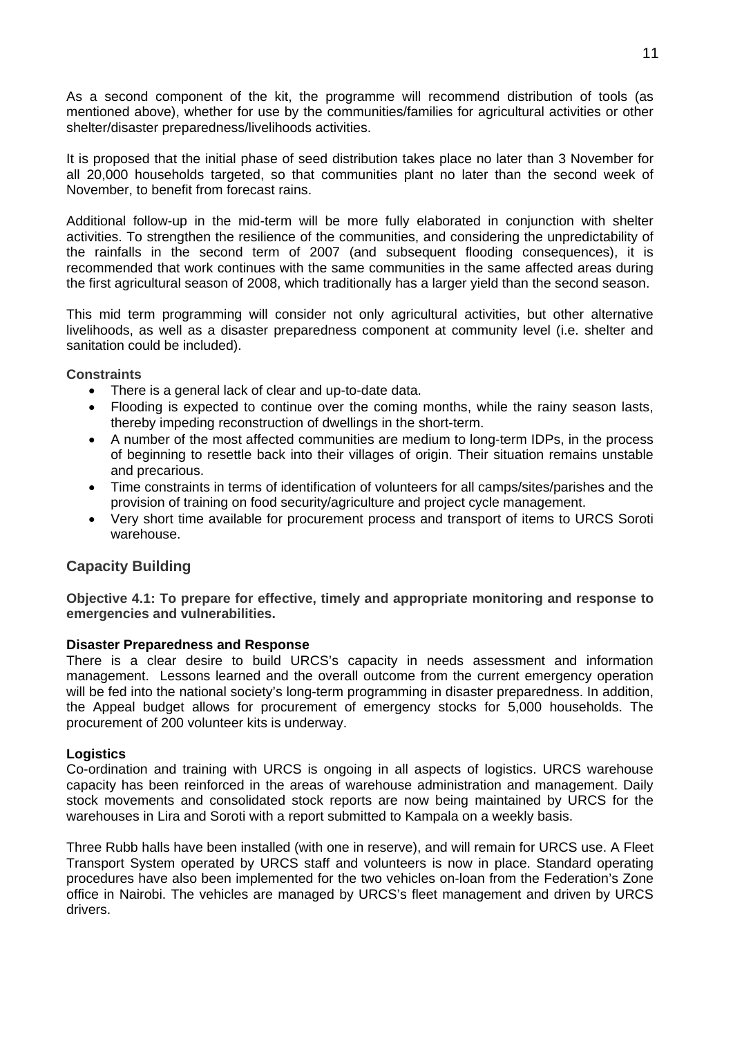As a second component of the kit, the programme will recommend distribution of tools (as mentioned above), whether for use by the communities/families for agricultural activities or other shelter/disaster preparedness/livelihoods activities.

It is proposed that the initial phase of seed distribution takes place no later than 3 November for all 20,000 households targeted, so that communities plant no later than the second week of November, to benefit from forecast rains.

Additional follow-up in the mid-term will be more fully elaborated in conjunction with shelter activities. To strengthen the resilience of the communities, and considering the unpredictability of the rainfalls in the second term of 2007 (and subsequent flooding consequences), it is recommended that work continues with the same communities in the same affected areas during the first agricultural season of 2008, which traditionally has a larger yield than the second season.

This mid term programming will consider not only agricultural activities, but other alternative livelihoods, as well as a disaster preparedness component at community level (i.e. shelter and sanitation could be included).

#### **Constraints**

- There is a general lack of clear and up-to-date data.
- Flooding is expected to continue over the coming months, while the rainy season lasts, thereby impeding reconstruction of dwellings in the short-term.
- A number of the most affected communities are medium to long-term IDPs, in the process of beginning to resettle back into their villages of origin. Their situation remains unstable and precarious.
- Time constraints in terms of identification of volunteers for all camps/sites/parishes and the provision of training on food security/agriculture and project cycle management.
- Very short time available for procurement process and transport of items to URCS Soroti warehouse.

#### **Capacity Building**

**Objective 4.1: To prepare for effective, timely and appropriate monitoring and response to emergencies and vulnerabilities.** 

#### **Disaster Preparedness and Response**

There is a clear desire to build URCS's capacity in needs assessment and information management. Lessons learned and the overall outcome from the current emergency operation will be fed into the national society's long-term programming in disaster preparedness. In addition, the Appeal budget allows for procurement of emergency stocks for 5,000 households. The procurement of 200 volunteer kits is underway.

#### **Logistics**

Co-ordination and training with URCS is ongoing in all aspects of logistics. URCS warehouse capacity has been reinforced in the areas of warehouse administration and management. Daily stock movements and consolidated stock reports are now being maintained by URCS for the warehouses in Lira and Soroti with a report submitted to Kampala on a weekly basis.

Three Rubb halls have been installed (with one in reserve), and will remain for URCS use. A Fleet Transport System operated by URCS staff and volunteers is now in place. Standard operating procedures have also been implemented for the two vehicles on-loan from the Federation's Zone office in Nairobi. The vehicles are managed by URCS's fleet management and driven by URCS drivers.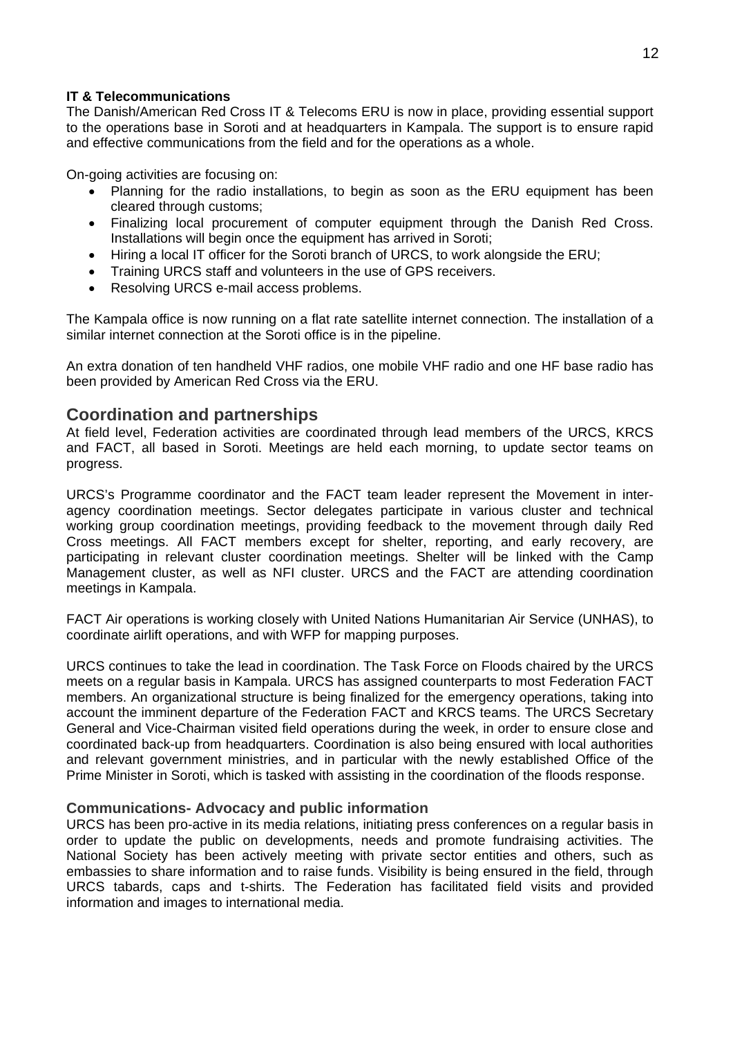#### **IT & Telecommunications**

The Danish/American Red Cross IT & Telecoms ERU is now in place, providing essential support to the operations base in Soroti and at headquarters in Kampala. The support is to ensure rapid and effective communications from the field and for the operations as a whole.

On-going activities are focusing on:

- Planning for the radio installations, to begin as soon as the ERU equipment has been cleared through customs;
- Finalizing local procurement of computer equipment through the Danish Red Cross. Installations will begin once the equipment has arrived in Soroti;
- Hiring a local IT officer for the Soroti branch of URCS, to work alongside the ERU;
- Training URCS staff and volunteers in the use of GPS receivers.
- Resolving URCS e-mail access problems.

The Kampala office is now running on a flat rate satellite internet connection. The installation of a similar internet connection at the Soroti office is in the pipeline.

An extra donation of ten handheld VHF radios, one mobile VHF radio and one HF base radio has been provided by American Red Cross via the ERU.

#### **Coordination and partnerships**

At field level, Federation activities are coordinated through lead members of the URCS, KRCS and FACT, all based in Soroti. Meetings are held each morning, to update sector teams on progress.

URCS's Programme coordinator and the FACT team leader represent the Movement in interagency coordination meetings. Sector delegates participate in various cluster and technical working group coordination meetings, providing feedback to the movement through daily Red Cross meetings. All FACT members except for shelter, reporting, and early recovery, are participating in relevant cluster coordination meetings. Shelter will be linked with the Camp Management cluster, as well as NFI cluster. URCS and the FACT are attending coordination meetings in Kampala.

FACT Air operations is working closely with United Nations Humanitarian Air Service (UNHAS), to coordinate airlift operations, and with WFP for mapping purposes.

URCS continues to take the lead in coordination. The Task Force on Floods chaired by the URCS meets on a regular basis in Kampala. URCS has assigned counterparts to most Federation FACT members. An organizational structure is being finalized for the emergency operations, taking into account the imminent departure of the Federation FACT and KRCS teams. The URCS Secretary General and Vice-Chairman visited field operations during the week, in order to ensure close and coordinated back-up from headquarters. Coordination is also being ensured with local authorities and relevant government ministries, and in particular with the newly established Office of the Prime Minister in Soroti, which is tasked with assisting in the coordination of the floods response.

#### **Communications- Advocacy and public information**

URCS has been pro-active in its media relations, initiating press conferences on a regular basis in order to update the public on developments, needs and promote fundraising activities. The National Society has been actively meeting with private sector entities and others, such as embassies to share information and to raise funds. Visibility is being ensured in the field, through URCS tabards, caps and t-shirts. The Federation has facilitated field visits and provided information and images to international media.